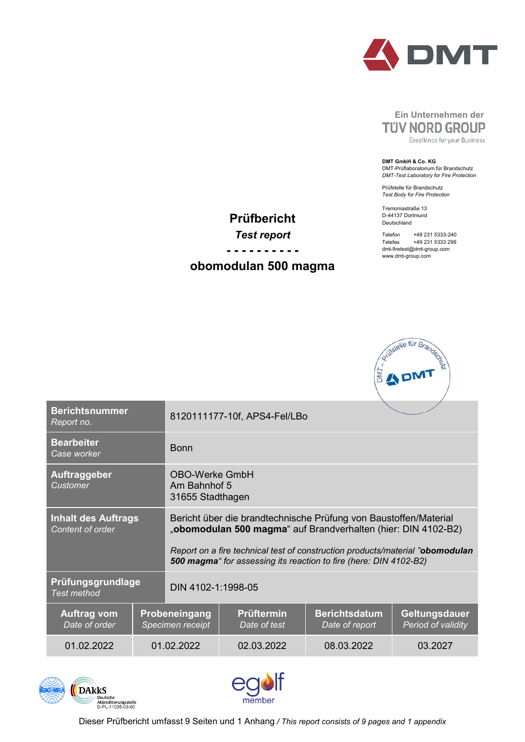

# **Ein Unternehmen der TUV NORD GROUP**

Excellence for your Business

**DMT GmbH & Co. KG** DMT-Prüflaboratorium für Brandschutz *DMT-Test Laboratory for Fire Protection*

Prüfstelle für Brandschutz *Test Body for Fire Protection*

Tremoniastraße 13 D-44137 Dortmund Deutschland

Telefon +49 231 5333-240<br>Telefax +49 231 5333 299 +49 231 5333 299 dmt-firetest@dmt-group.com www.dmt-group.com



| <b>Berichtsnummer</b><br>Report no.            |            | 8120111177-10f, APS4-Fel/LBo                                                                                                                                                                                                                                                            |                                   |                                        |                                     |  |  |
|------------------------------------------------|------------|-----------------------------------------------------------------------------------------------------------------------------------------------------------------------------------------------------------------------------------------------------------------------------------------|-----------------------------------|----------------------------------------|-------------------------------------|--|--|
| <b>Bearbeiter</b><br>Case worker               |            | <b>Bonn</b>                                                                                                                                                                                                                                                                             |                                   |                                        |                                     |  |  |
| Auftraggeber<br>Customer                       |            | <b>OBO-Werke GmbH</b><br>Am Bahnhof 5<br>31655 Stadthagen                                                                                                                                                                                                                               |                                   |                                        |                                     |  |  |
| <b>Inhalt des Auftrags</b><br>Content of order |            | Bericht über die brandtechnische Prüfung von Baustoffen/Material<br>"obomodulan 500 magma" auf Brandverhalten (hier: DIN 4102-B2)<br>Report on a fire technical test of construction products/material "obomodulan<br>500 magma" for assessing its reaction to fire (here: DIN 4102-B2) |                                   |                                        |                                     |  |  |
| Prüfungsgrundlage<br><b>Test method</b>        |            | DIN 4102-1:1998-05                                                                                                                                                                                                                                                                      |                                   |                                        |                                     |  |  |
| <b>Auftrag vom</b><br>Date of order            |            | <b>Probeneingang</b><br>Specimen receipt                                                                                                                                                                                                                                                | <b>Prüftermin</b><br>Date of test | <b>Berichtsdatum</b><br>Date of report | Geltungsdauer<br>Period of validity |  |  |
| 01.02.2022                                     | 01.02.2022 |                                                                                                                                                                                                                                                                                         | 02.03.2022                        | 08.03.2022                             | 03.2027                             |  |  |

**Prüfbericht**

*Test report* **- - - - - - - - - obomodulan 500 magma**





Dieser Prüfbericht umfasst 9 Seiten und 1 Anhang */ This report consists of 9 pages and 1 appendix*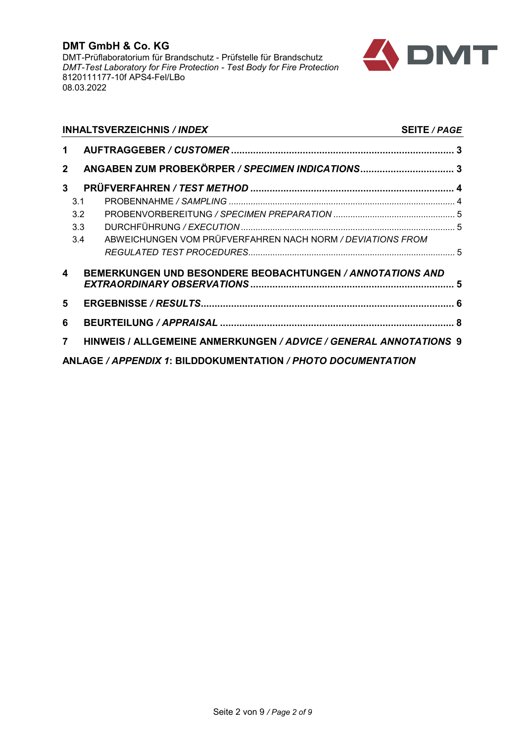

|              | <b>INHALTSVERZEICHNIS / INDEX</b>                                 | <b>SEITE / PAGE</b> |
|--------------|-------------------------------------------------------------------|---------------------|
| 1            |                                                                   |                     |
| $\mathbf{2}$ |                                                                   |                     |
| 3            |                                                                   |                     |
|              | 3.1                                                               |                     |
|              | 3.2                                                               |                     |
|              | 3.3                                                               |                     |
|              | ABWEICHUNGEN VOM PRÜFVERFAHREN NACH NORM / DEVIATIONS FROM<br>3.4 |                     |
|              |                                                                   |                     |
| 4            | <b>BEMERKUNGEN UND BESONDERE BEOBACHTUNGEN / ANNOTATIONS AND</b>  |                     |
| 5            |                                                                   |                     |
| 6            |                                                                   |                     |
| 7            | HINWEIS / ALLGEMEINE ANMERKUNGEN / ADVICE / GENERAL ANNOTATIONS 9 |                     |
|              | ANLAGE / APPENDIX 1: BILDDOKUMENTATION / PHOTO DOCUMENTATION      |                     |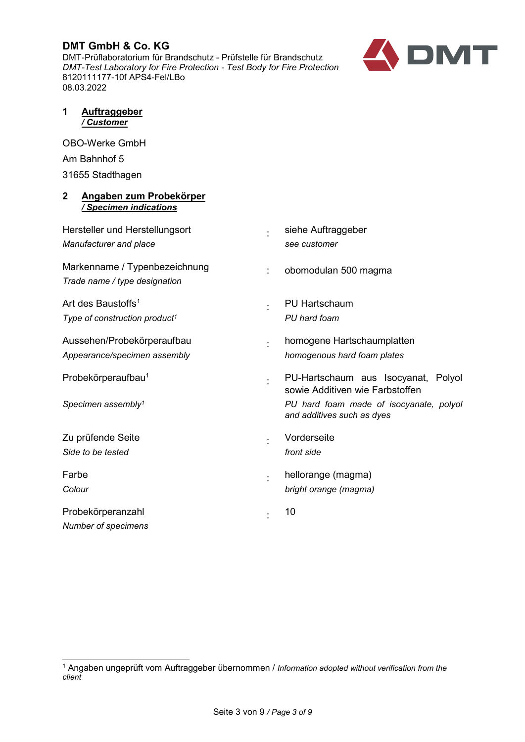DMT-Prüflaboratorium für Brandschutz - Prüfstelle für Brandschutz *DMT-Test Laboratory for Fire Protection - Test Body for Fire Protection* 8120111177-10f APS4-Fel/LBo 08.03.2022



#### <span id="page-2-0"></span>**1 Auftraggeber** */ Customer*

OBO-Werke GmbH Am Bahnhof 5 31655 Stadthagen

#### <span id="page-2-1"></span>**2 Angaben zum Probekörper** */ Specimen indications*

<span id="page-2-2"></span>

| Hersteller und Herstellungsort<br>Manufacturer and place                    |   | siehe Auftraggeber<br>see customer                                                                                |
|-----------------------------------------------------------------------------|---|-------------------------------------------------------------------------------------------------------------------|
| Markenname / Typenbezeichnung<br>Trade name / type designation              | ÷ | obomodulan 500 magma                                                                                              |
| Art des Baustoffs <sup>1</sup><br>Type of construction product <sup>1</sup> |   | <b>PU Hartschaum</b><br>PU hard foam                                                                              |
| Aussehen/Probekörperaufbau<br>Appearance/specimen assembly                  |   | homogene Hartschaumplatten<br>homogenous hard foam plates                                                         |
| Probekörperaufbau <sup>1</sup><br>Specimen assembly <sup>1</sup>            |   | PU-Hartschaum aus Isocyanat, Polyol<br>sowie Additiven wie Farbstoffen<br>PU hard foam made of isocyanate, polyol |
|                                                                             |   | and additives such as dyes                                                                                        |
| Zu prüfende Seite<br>Side to be tested                                      |   | Vorderseite<br>front side                                                                                         |
| Farbe<br>Colour                                                             |   | hellorange (magma)<br>bright orange (magma)                                                                       |
| Probekörperanzahl<br>Number of specimens                                    |   | 10                                                                                                                |

<span id="page-2-3"></span> <sup>1</sup> Angaben ungeprüft vom Auftraggeber übernommen / *Information adopted without verification from the client*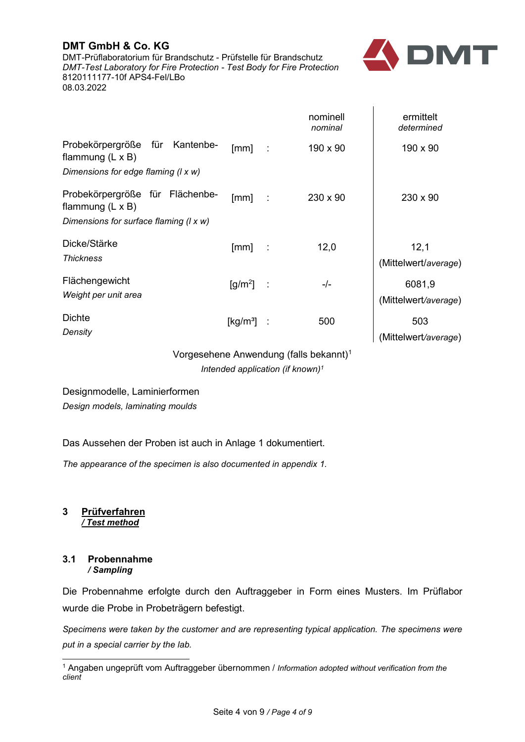DMT-Prüflaboratorium für Brandschutz - Prüfstelle für Brandschutz *DMT-Test Laboratory for Fire Protection - Test Body for Fire Protection* 8120111177-10f APS4-Fel/LBo 08.03.2022



 $\mathbf{I}$ 

|                                                                                                  |                                |          | nominell<br>nominal | ermittelt<br>determined        |
|--------------------------------------------------------------------------------------------------|--------------------------------|----------|---------------------|--------------------------------|
| Probekörpergröße für Kantenbe-<br>flammung $(L \times B)$<br>Dimensions for edge flaming (I x w) | [mm]                           | $\sim$   | $190 \times 90$     | $190 \times 90$                |
|                                                                                                  |                                |          |                     |                                |
| Probekörpergröße für Flächenbe-<br>flammung $(L \times B)$                                       | $\lceil mm \rceil$             | $\sim 1$ | 230 x 90            | $230 \times 90$                |
| Dimensions for surface flaming (I x w)                                                           |                                |          |                     |                                |
| Dicke/Stärke<br><b>Thickness</b>                                                                 | [mm]                           | $\sim$   | 12,0                | 12,1<br>(Mittelwert/average)   |
| Flächengewicht<br>Weight per unit area                                                           | $\left[\frac{g}{m^2}\right]$ : |          | -/-                 | 6081,9<br>(Mittelwert/average) |
| <b>Dichte</b><br>Density                                                                         | $\left[\mathrm{kg/m^3}\right]$ |          | 500                 | 503<br>(Mittelwert/average)    |

<span id="page-3-2"></span>Vorgesehene Anwendung (falls bekannt)[1](#page-3-3) *Intended application (if known[\)1](#page-3-2)*

# Designmodelle, Laminierformen

*Design models, laminating moulds*

### Das Aussehen der Proben ist auch in Anlage 1 dokumentiert.

<span id="page-3-0"></span>*The appearance of the specimen is also documented in appendix 1.*

**3 Prüfverfahren** */ Test method*

#### <span id="page-3-1"></span>**3.1 Probennahme** */ Sampling*

Die Probennahme erfolgte durch den Auftraggeber in Form eines Musters. Im Prüflabor wurde die Probe in Probeträgern befestigt.

*Specimens were taken by the customer and are representing typical application. The specimens were put in a special carrier by the lab.*

<span id="page-3-3"></span> <sup>1</sup> Angaben ungeprüft vom Auftraggeber übernommen / *Information adopted without verification from the client*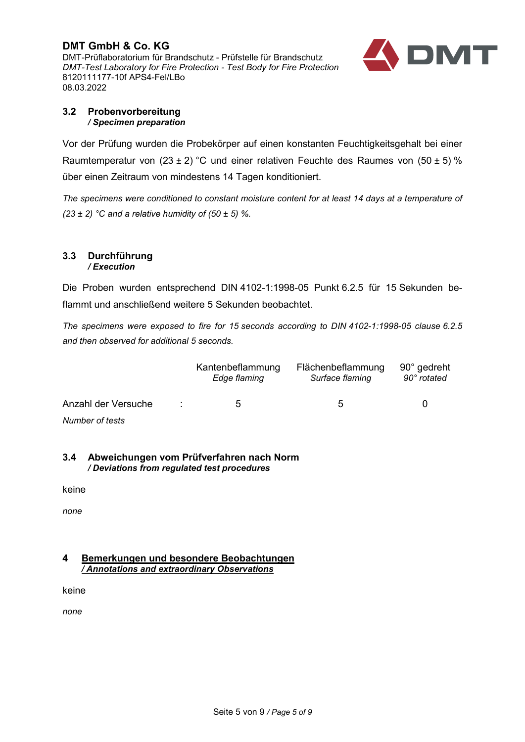**DMT GmbH & Co. KG** DMT-Prüflaboratorium für Brandschutz - Prüfstelle für Brandschutz *DMT-Test Laboratory for Fire Protection - Test Body for Fire Protection* 8120111177-10f APS4-Fel/LBo 08.03.2022



#### <span id="page-4-0"></span>**3.2 Probenvorbereitung** */ Specimen preparation*

Vor der Prüfung wurden die Probekörper auf einen konstanten Feuchtigkeitsgehalt bei einer Raumtemperatur von  $(23 \pm 2)$  °C und einer relativen Feuchte des Raumes von  $(50 \pm 5)$  % über einen Zeitraum von mindestens 14 Tagen konditioniert.

*The specimens were conditioned to constant moisture content for at least 14 days at a temperature of (23 ± 2) °C and a relative humidity of (50 ± 5) %.*

#### <span id="page-4-1"></span>**3.3 Durchführung** */ Execution*

Die Proben wurden entsprechend DIN 4102-1:1998-05 Punkt 6.2.5 für 15 Sekunden beflammt und anschließend weitere 5 Sekunden beobachtet.

*The specimens were exposed to fire for 15 seconds according to DIN 4102-1:1998-05 clause 6.2.5 and then observed for additional 5 seconds.*

|                     | Kantenbeflammung<br>Edge flaming | Flächenbeflammung<br>Surface flaming | 90° gedreht<br>90° rotated |  |
|---------------------|----------------------------------|--------------------------------------|----------------------------|--|
| Anzahl der Versuche | 5                                | $\mathfrak b$                        |                            |  |
| Number of tests     |                                  |                                      |                            |  |

### <span id="page-4-2"></span>**3.4 Abweichungen vom Prüfverfahren nach Norm** */ Deviations from regulated test procedures*

keine

<span id="page-4-3"></span>*none*

#### **4 Bemerkungen und besondere Beobachtungen** */ Annotations and extraordinary Observations*

keine

*none*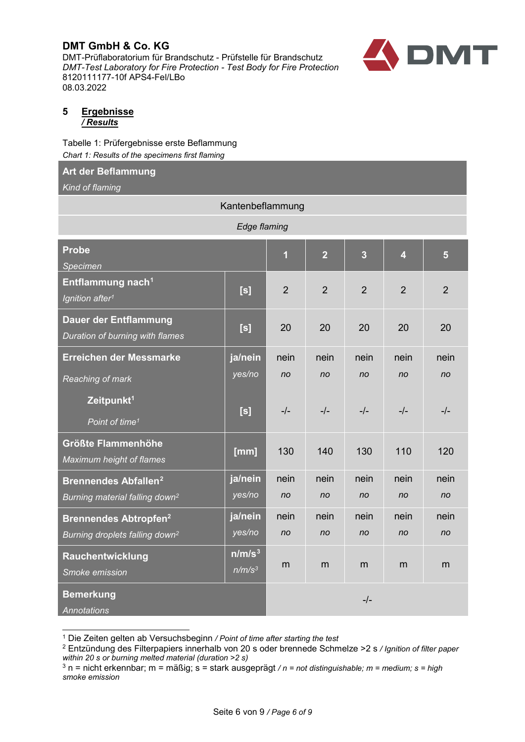DMT-Prüflaboratorium für Brandschutz - Prüfstelle für Brandschutz *DMT-Test Laboratory for Fire Protection - Test Body for Fire Protection* 8120111177-10f APS4-Fel/LBo 08.03.2022



#### <span id="page-5-0"></span>**5 Ergebnisse** */ Results*

Tabelle 1: Prüfergebnisse erste Beflammung *Chart 1: Results of the specimens first flaming*

# **Art der Beflammung**

*Kind of flaming*

| Kantenbeflammung                                                |                                          |                         |                |                |                |                |
|-----------------------------------------------------------------|------------------------------------------|-------------------------|----------------|----------------|----------------|----------------|
| Edge flaming                                                    |                                          |                         |                |                |                |                |
| <b>Probe</b><br>Specimen                                        |                                          | $\overline{\mathbf{1}}$ | $\overline{2}$ | $\overline{3}$ | $\overline{4}$ | $5\phantom{.}$ |
| Entflammung nach <sup>1</sup><br>Ignition after <sup>1</sup>    | [s]                                      | $\overline{2}$          | $\overline{2}$ | $\overline{2}$ | $\overline{2}$ | $\overline{2}$ |
| <b>Dauer der Entflammung</b><br>Duration of burning with flames | [s]                                      | 20                      | 20             | 20             | 20             | 20             |
| Erreichen der Messmarke                                         | ja/nein                                  | nein                    | nein           | nein           | nein           | nein           |
| Reaching of mark                                                | yes/no                                   | no                      | no             | n <sub>o</sub> | n <sub>o</sub> | n <sub>o</sub> |
| Zeitpunkt <sup>1</sup><br>Point of time <sup>1</sup>            | [s]                                      | $-/-$                   | $-/-$          | $-/-$          | $-/-$          | $-/-$          |
| <b>Größte Flammenhöhe</b><br>Maximum height of flames           | [mm]                                     | 130                     | 140            | 130            | 110            | 120            |
| <b>Brennendes Abfallen<sup>2</sup></b>                          | ja/nein                                  | nein                    | nein           | nein           | nein           | nein           |
| Burning material falling down <sup>2</sup>                      | yes/no                                   | no                      | no             | n <sub>o</sub> | no             | no             |
| <b>Brennendes Abtropfen<sup>2</sup></b>                         | ja/nein                                  | nein                    | nein           | nein           | nein           | nein           |
| Burning droplets falling down <sup>2</sup>                      | yes/no                                   | no                      | n <sub>o</sub> | n <sub>o</sub> | no             | no             |
| Rauchentwicklung<br>Smoke emission                              | n/m/s <sup>3</sup><br>n/m/s <sup>3</sup> | m                       | m              | m              | m              | m              |
| <b>Bemerkung</b><br><b>Annotations</b>                          |                                          | $-/-$                   |                |                |                |                |

<sup>1</sup> Die Zeiten gelten ab Versuchsbeginn */ Point of time after starting the test*

<span id="page-5-2"></span><span id="page-5-1"></span><sup>2</sup> Entzündung des Filterpapiers innerhalb von 20 s oder brennede Schmelze >2 s */ Ignition of filter paper within 20 s or burning melted material (duration >2 s)*

<span id="page-5-3"></span><sup>3</sup> n = nicht erkennbar; m = mäßig; s = stark ausgeprägt */ n = not distinguishable; m = medium; s = high smoke emission*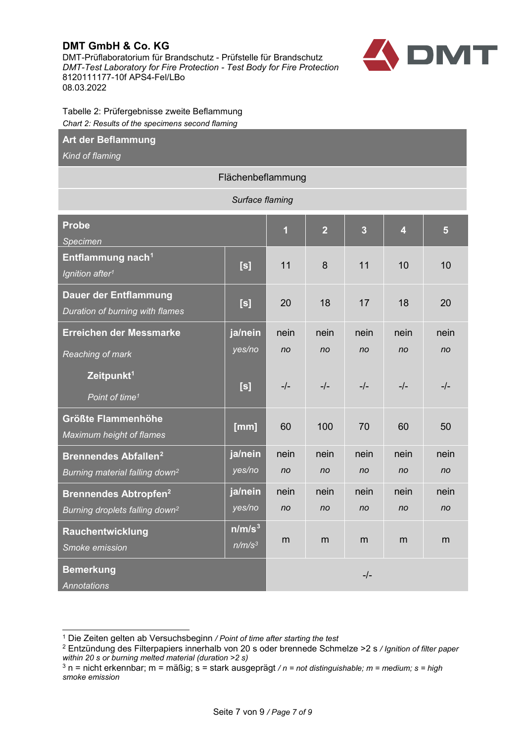DMT-Prüflaboratorium für Brandschutz - Prüfstelle für Brandschutz *DMT-Test Laboratory for Fire Protection - Test Body for Fire Protection* 8120111177-10f APS4-Fel/LBo 08.03.2022



Tabelle 2: Prüfergebnisse zweite Beflammung *Chart 2: Results of the specimens second flaming*

#### **Art der Beflammung**

*Kind of flaming*

#### Flächenbeflammung *Surface flaming* **Probe** *Specimen* **1 2 3 4 5 Entflammung nac[h1](#page-6-0)** *Ignition after1* **[s]** <sup>11</sup> 8 11 <sup>10</sup> <sup>10</sup> **Dauer der Entflammung** *Duration of burning with flames* **[s]** <sup>20</sup> <sup>18</sup> <sup>17</sup> <sup>18</sup> <sup>20</sup> **Erreichen der Messmarke** *Reaching of mark* **ja/nein** *yes/no* nein *no* nein *no* nein *no* nein *no* nein *no* **Zeitpunkt1** *Point of time1* **[s]** -/- -/- -/- -/- -/- **Größte Flammenhöhe** *Maximum height of flames* **[mm]** <sup>60</sup> <sup>100</sup> <sup>70</sup> <sup>60</sup> <sup>50</sup> **Brennendes Abfallen[2](#page-6-1)** *Burning material falling down2* **ja/nein** *yes/no* nein *no* nein *no* nein *no* nein *no* nein *no* **Brennendes Abtropfen2** *Burning droplets falling down2* **ja/nein** *yes/no* nein *no* nein *no* nein *no* nein *no* nein *no* **Rauchentwicklung** *Smoke emission* **n/m/s[3](#page-6-2)** *n/m/s*<sup>3</sup> m m m m m **Bemerkung** *Annotations* -/-

<span id="page-6-0"></span><sup>1</sup> Die Zeiten gelten ab Versuchsbeginn */ Point of time after starting the test*

<span id="page-6-1"></span><sup>2</sup> Entzündung des Filterpapiers innerhalb von 20 s oder brennede Schmelze >2 s */ Ignition of filter paper within 20 s or burning melted material (duration >2 s)*

<span id="page-6-2"></span> $3$  n = nicht erkennbar; m = mäßig; s = stark ausgeprägt / n = not distinguishable; m = medium; s = high *smoke emission*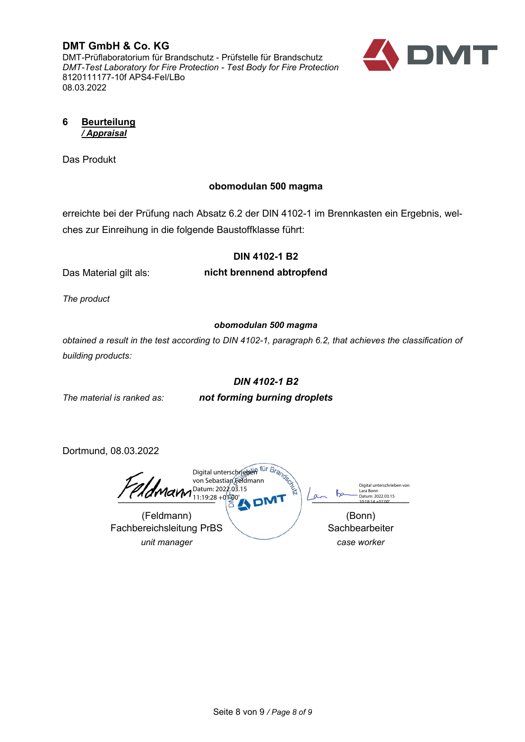**DMT GmbH & Co. KG** DMT-Prüflaboratorium für Brandschutz - Prüfstelle für Brandschutz *DMT-Test Laboratory for Fire Protection - Test Body for Fire Protection* 8120111177-10f APS4-Fel/LBo 08.03.2022



<span id="page-7-0"></span>**6 Beurteilung** */ Appraisal*

Das Produkt

# **obomodulan 500 magma**

erreichte bei der Prüfung nach Absatz 6.2 der DIN 4102-1 im Brennkasten ein Ergebnis, welches zur Einreihung in die folgende Baustoffklasse führt:

# **DIN 4102-1 B2**

Das Material gilt als:

**nicht brennend abtropfend**

*The product*

# *obomodulan 500 magma*

*obtained a result in the test according to DIN 4102-1, paragraph 6.2, that achieves the classification of building products:*

# *DIN 4102-1 B2*

*The material is ranked as:*

*not forming burning droplets*

Dortmund, 08.03.2022

Fachbereichsleitung PrBS *unit manager*

 $\sum_{1018.14+01'00'}$ (Feldmann) (Bonn) Digital unterschrieben von Lara Bonn Datum: 2022.03.15 10:18:14 +01'00' Digital unterschrieben von Sebastian Feldmann Datum: 2022.03.15 11:19:28 +01'00'

**Sachbearbeiter** *case worker*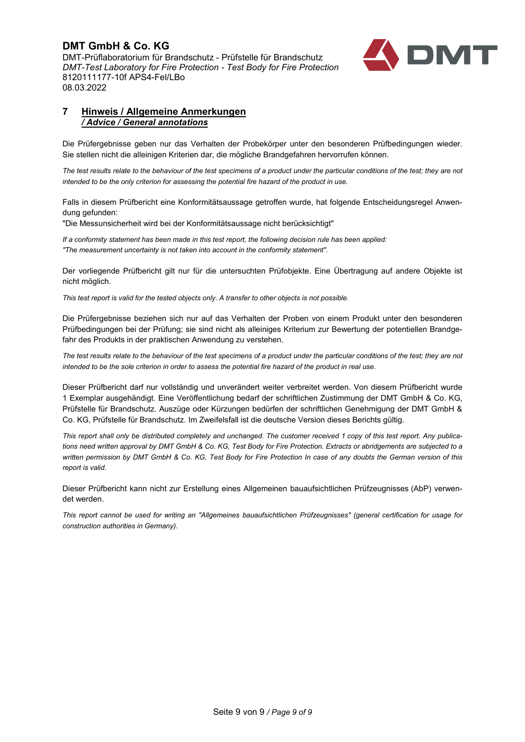**DMT GmbH & Co. KG** DMT-Prüflaboratorium für Brandschutz - Prüfstelle für Brandschutz *DMT-Test Laboratory for Fire Protection - Test Body for Fire Protection* 8120111177-10f APS4-Fel/LBo 08.03.2022



#### <span id="page-8-0"></span>**7 Hinweis / Allgemeine Anmerkungen** */ Advice / General annotations*

Die Prüfergebnisse geben nur das Verhalten der Probekörper unter den besonderen Prüfbedingungen wieder. Sie stellen nicht die alleinigen Kriterien dar, die mögliche Brandgefahren hervorrufen können.

*The test results relate to the behaviour of the test specimens of a product under the particular conditions of the test; they are not intended to be the only criterion for assessing the potential fire hazard of the product in use.*

Falls in diesem Prüfbericht eine Konformitätsaussage getroffen wurde, hat folgende Entscheidungsregel Anwendung gefunden:

"Die Messunsicherheit wird bei der Konformitätsaussage nicht berücksichtigt"

*If a conformity statement has been made in this test report, the following decision rule has been applied: "The measurement uncertainty is not taken into account in the conformity statement".*

Der vorliegende Prüfbericht gilt nur für die untersuchten Prüfobjekte. Eine Übertragung auf andere Objekte ist nicht möglich.

*This test report is valid for the tested objects only. A transfer to other objects is not possible.*

Die Prüfergebnisse beziehen sich nur auf das Verhalten der Proben von einem Produkt unter den besonderen Prüfbedingungen bei der Prüfung; sie sind nicht als alleiniges Kriterium zur Bewertung der potentiellen Brandgefahr des Produkts in der praktischen Anwendung zu verstehen.

*The test results relate to the behaviour of the test specimens of a product under the particular conditions of the test; they are not intended to be the sole criterion in order to assess the potential fire hazard of the product in real use.*

Dieser Prüfbericht darf nur vollständig und unverändert weiter verbreitet werden. Von diesem Prüfbericht wurde 1 Exemplar ausgehändigt. Eine Veröffentlichung bedarf der schriftlichen Zustimmung der DMT GmbH & Co. KG, Prüfstelle für Brandschutz. Auszüge oder Kürzungen bedürfen der schriftlichen Genehmigung der DMT GmbH & Co. KG, Prüfstelle für Brandschutz. Im Zweifelsfall ist die deutsche Version dieses Berichts gültig.

*This report shall only be distributed completely and unchanged. The customer received 1 copy of this test report. Any publications need written approval by DMT GmbH & Co. KG, Test Body for Fire Protection. Extracts or abridgements are subjected to a written permission by DMT GmbH & Co. KG, Test Body for Fire Protection In case of any doubts the German version of this report is valid.*

Dieser Prüfbericht kann nicht zur Erstellung eines Allgemeinen bauaufsichtlichen Prüfzeugnisses (AbP) verwendet werden.

*This report cannot be used for writing an "Allgemeines bauaufsichtlichen Prüfzeugnisses" (general certification for usage for construction authorities in Germany).*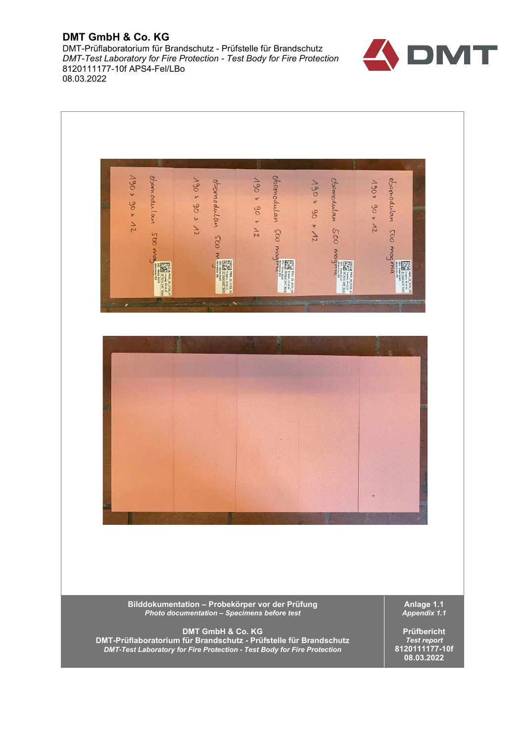DMT-Prüflaboratorium für Brandschutz - Prüfstelle für Brandschutz *DMT-Test Laboratory for Fire Protection - Test Body for Fire Protection* 8120111177-10f APS4-Fel/LBo 08.03.2022



*DMT-Test Laboratory for Fire Protection - Test Body for Fire Protection*

**8120111177-10f 08.03.2022**